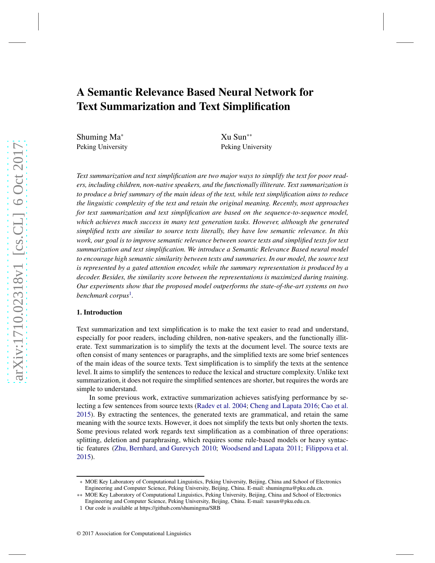# A Semantic Relevance Based Neural Network for Text Summarization and Text Simplification

Shuming Ma<sup>∗</sup> Peking University

Xu Sun∗∗ Peking University

*Text summarization and text simplification are two major ways to simplify the text for poor readers, including children, non-native speakers, and the functionally illiterate. Text summarization is to produce a brief summary of the main ideas of the text, while text simplification aims to reduce the linguistic complexity of the text and retain the original meaning. Recently, most approaches for text summarization and text simplification are based on the sequence-to-sequence model, which achieves much success in many text generation tasks. However, although the generated simplified texts are similar to source texts literally, they have low semantic relevance. In this work, our goal is to improve semantic relevance between source texts and simplified texts for text summarization and text simplification. We introduce a Semantic Relevance Based neural model to encourage high semantic similarity between texts and summaries. In our model, the source text is represented by a gated attention encoder, while the summary representation is produced by a decoder. Besides, the similarity score between the representations is maximized during training. Our experiments show that the proposed model outperforms the state-of-the-art systems on two benchmark corpus*[1](#page-0-0) *.*

# 1. Introduction

Text summarization and text simplification is to make the text easier to read and understand, especially for poor readers, including children, non-native speakers, and the functionally illiterate. Text summarization is to simplify the texts at the document level. The source texts are often consist of many sentences or paragraphs, and the simplified texts are some brief sentences of the main ideas of the source texts. Text simplification is to simplify the texts at the sentence level. It aims to simplify the sentences to reduce the lexical and structure complexity. Unlike text summarization, it does not require the simplified sentences are shorter, but requires the words are simple to understand.

In some previous work, extractive summarization achieves satisfying performance by selecting a few sentences from source texts [\(Radev et al. 2004;](#page-14-0) [Cheng and Lapata 2016](#page-13-0); [Cao et al.](#page-13-1) [2015\)](#page-13-1). By extracting the sentences, the generated texts are grammatical, and retain the same meaning with the source texts. However, it does not simplify the texts but only shorten the texts. Some previous related work regards text simplification as a combination of three operations: splitting, deletion and paraphrasing, which requires some rule-based models or heavy syntactic features [\(Zhu, Bernhard, and Gurevych 2010;](#page-14-1) [Woodsend and Lapata 2011;](#page-14-2) [Filippova et al.](#page-13-2) [2015\)](#page-13-2).

<sup>∗</sup> MOE Key Laboratory of Computational Linguistics, Peking University, Beijing, China and School of Electronics Engineering and Computer Science, Peking University, Beijing, China. E-mail: shumingma@pku.edu.cn.

<sup>∗∗</sup> MOE Key Laboratory of Computational Linguistics, Peking University, Beijing, China and School of Electronics Engineering and Computer Science, Peking University, Beijing, China. E-mail: xusun@pku.edu.cn.

<span id="page-0-0"></span><sup>1</sup> Our code is available at https://github.com/shumingma/SRB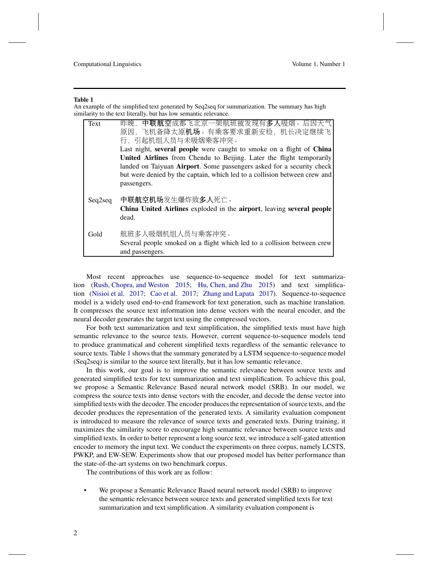#### Table 1

<span id="page-1-0"></span>An example of the simplified text generated by Seq2seq for summarization. The summary has high similarity to the text literally, but has low semantic relevance.

| Text    | 昨晚, <b>中联航空</b> 成都飞北京一架航班被发现有 <b>多人</b> 吸烟。后因天气<br>原因, 飞机备降太原机场。有乘客要求重新安检, 机长决定继续飞                                                                                                                                                        |
|---------|-------------------------------------------------------------------------------------------------------------------------------------------------------------------------------------------------------------------------------------------|
|         | 行,引起机组人员与未吸烟乘客冲突。<br>Last night, several people were caught to smoke on a flight of China                                                                                                                                                 |
|         | United Airlines from Chendu to Beijing. Later the flight temporarily<br>landed on Taiyuan Airport. Some passengers asked for a security check<br>but were denied by the captain, which led to a collision between crew and<br>passengers. |
| Seq2seq | 中联航空机场发生爆炸致多人死亡。<br>China United Airlines exploded in the airport, leaving several people<br>dead.                                                                                                                                        |
| Gold    | 航班多人吸烟机组人员与乘客冲突。<br>Several people smoked on a flight which led to a collision between crew<br>and passengers.                                                                                                                            |

Most recent approaches use sequence-to-sequence model for text summarization [\(Rush, Chopra, and Weston 2015;](#page-14-3) [Hu, Chen, and Zhu 2015\)](#page-13-3) and text simplification [\(Nisioi et al. 2017](#page-14-4); [Cao et al. 2017;](#page-13-4) [Zhang and Lapata 2017\)](#page-14-5). Sequence-to-sequence model is a widely used end-to-end framework for text generation, such as machine translation. It compresses the source text information into dense vectors with the neural encoder, and the neural decoder generates the target text using the compressed vectors.

For both text summarization and text simplification, the simplified texts must have high semantic relevance to the source texts. However, current sequence-to-sequence models tend to produce grammatical and coherent simplified texts regardless of the semantic relevance to source texts. Table [1](#page-1-0) shows that the summary generated by a LSTM sequence-to-sequence model (Seq2seq) is similar to the source text literally, but it has low semantic relevance.

In this work, our goal is to improve the semantic relevance between source texts and generated simplified texts for text summarization and text simplification. To achieve this goal, we propose a Semantic Relevance Based neural network model (SRB). In our model, we compress the source texts into dense vectors with the encoder, and decode the dense vector into simplified texts with the decoder. The encoder produces the representation of source texts, and the decoder produces the representation of the generated texts. A similarity evaluation component is introduced to measure the relevance of source texts and generated texts. During training, it maximizes the similarity score to encourage high semantic relevance between source texts and simplified texts. In order to better represent a long source text, we introduce a self-gated attention encoder to memory the input text. We conduct the experiments on three corpus, namely LCSTS, PWKP, and EW-SEW. Experiments show that our proposed model has better performance than the state-of-the-art systems on two benchmark corpus.

The contributions of this work are as follow:

• We propose a Semantic Relevance Based neural network model (SRB) to improve the semantic relevance between source texts and generated simplified texts for text summarization and text simplification. A similarity evaluation component is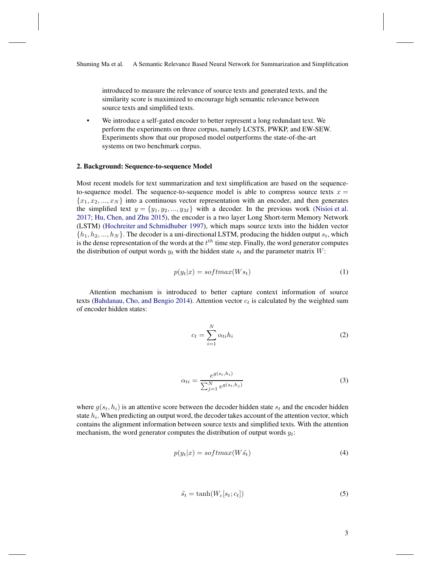introduced to measure the relevance of source texts and generated texts, and the similarity score is maximized to encourage high semantic relevance between source texts and simplified texts.

We introduce a self-gated encoder to better represent a long redundant text. We perform the experiments on three corpus, namely LCSTS, PWKP, and EW-SEW. Experiments show that our proposed model outperforms the state-of-the-art systems on two benchmark corpus.

#### 2. Background: Sequence-to-sequence Model

Most recent models for text summarization and text simplification are based on the sequenceto-sequence model. The sequence-to-sequence model is able to compress source texts  $x =$  ${x_1, x_2, ..., x_N}$  into a continuous vector representation with an encoder, and then generates the simplified text  $y = \{y_1, y_2, ..., y_M\}$  with a decoder. In the previous work [\(Nisioi et al.](#page-14-4) [2017;](#page-14-4) [Hu, Chen, and Zhu 2015\)](#page-13-3), the encoder is a two layer Long Short-term Memory Network (LSTM) [\(Hochreiter and Schmidhuber 1997\)](#page-13-5), which maps source texts into the hidden vector  $\{h_1, h_2, ..., h_N\}$ . The decoder is a uni-directional LSTM, producing the hidden output  $s_t$ , which is the dense representation of the words at the  $t^{th}$  time step. Finally, the word generator computes the distribution of output words  $y_t$  with the hidden state  $s_t$  and the parameter matrix W:

$$
p(y_t|x) = softmax(Ws_t)
$$
\n(1)

Attention mechanism is introduced to better capture context information of source texts [\(Bahdanau, Cho, and Bengio 2014\)](#page-12-0). Attention vector  $c_t$  is calculated by the weighted sum of encoder hidden states:

$$
c_t = \sum_{i=1}^{N} \alpha_{ti} h_i \tag{2}
$$

$$
\alpha_{ti} = \frac{e^{g(s_t, h_i)}}{\sum_{j=1}^{N} e^{g(s_t, h_j)}}
$$
(3)

where  $g(s_t, h_i)$  is an attentive score between the decoder hidden state  $s_t$  and the encoder hidden state  $h_i$ . When predicting an output word, the decoder takes account of the attention vector, which contains the alignment information between source texts and simplified texts. With the attention mechanism, the word generator computes the distribution of output words  $y_t$ :

$$
p(y_t|x) = softmax(W\tilde{s}_t)
$$
\n(4)

$$
\tilde{s_t} = \tanh(W_c[s_t; c_t])\tag{5}
$$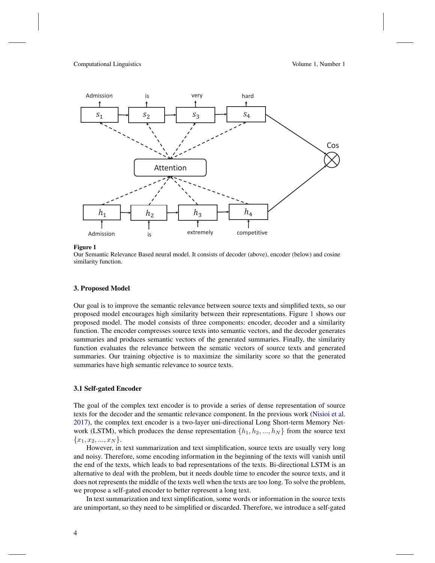

Figure 1

<span id="page-3-0"></span>Our Semantic Relevance Based neural model. It consists of decoder (above), encoder (below) and cosine similarity function.

## 3. Proposed Model

Our goal is to improve the semantic relevance between source texts and simplified texts, so our proposed model encourages high similarity between their representations. Figure [1](#page-3-0) shows our proposed model. The model consists of three components: encoder, decoder and a similarity function. The encoder compresses source texts into semantic vectors, and the decoder generates summaries and produces semantic vectors of the generated summaries. Finally, the similarity function evaluates the relevance between the sematic vectors of source texts and generated summaries. Our training objective is to maximize the similarity score so that the generated summaries have high semantic relevance to source texts.

## 3.1 Self-gated Encoder

The goal of the complex text encoder is to provide a series of dense representation of source texts for the decoder and the semantic relevance component. In the previous work [\(Nisioi et al.](#page-14-4) [2017\)](#page-14-4), the complex text encoder is a two-layer uni-directional Long Short-term Memory Network (LSTM), which produces the dense representation  $\{h_1, h_2, ..., h_N\}$  from the source text  ${x_1, x_2, ..., x_N}.$ 

However, in text summarization and text simplification, source texts are usually very long and noisy. Therefore, some encoding information in the beginning of the texts will vanish until the end of the texts, which leads to bad representations of the texts. Bi-directional LSTM is an alternative to deal with the problem, but it needs double time to encoder the source texts, and it does not represents the middle of the texts well when the texts are too long. To solve the problem, we propose a self-gated encoder to better represent a long text.

In text summarization and text simplification, some words or information in the source texts are unimportant, so they need to be simplified or discarded. Therefore, we introduce a self-gated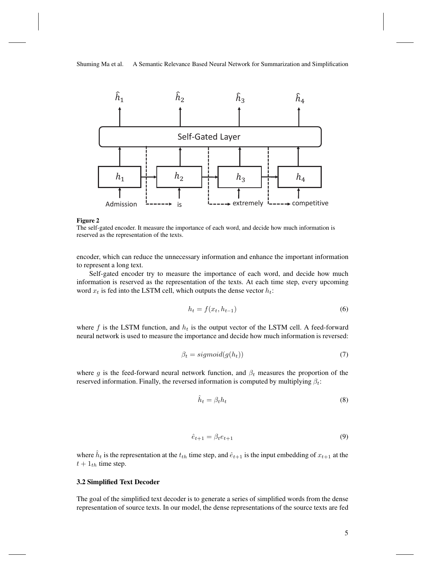

#### Figure 2

The self-gated encoder. It measure the importance of each word, and decide how much information is reserved as the representation of the texts.

encoder, which can reduce the unnecessary information and enhance the important information to represent a long text.

Self-gated encoder try to measure the importance of each word, and decide how much information is reserved as the representation of the texts. At each time step, every upcoming word  $x_t$  is fed into the LSTM cell, which outputs the dense vector  $h_t$ :

$$
h_t = f(x_t, h_{t-1})\tag{6}
$$

where f is the LSTM function, and  $h_t$  is the output vector of the LSTM cell. A feed-forward neural network is used to measure the importance and decide how much information is reversed:

$$
\beta_t = sigmoid(g(h_t))\tag{7}
$$

where g is the feed-forward neural network function, and  $\beta_t$  measures the proportion of the reserved information. Finally, the reversed information is computed by multiplying  $\beta_t$ :

$$
\hat{h}_t = \beta_t h_t \tag{8}
$$

$$
\hat{e}_{t+1} = \beta_t e_{t+1} \tag{9}
$$

where  $h_t$  is the representation at the  $t_{th}$  time step, and  $\hat{e}_{t+1}$  is the input embedding of  $x_{t+1}$  at the  $t + 1$ <sub>th</sub> time step.

## 3.2 Simplified Text Decoder

The goal of the simplified text decoder is to generate a series of simplified words from the dense representation of source texts. In our model, the dense representations of the source texts are fed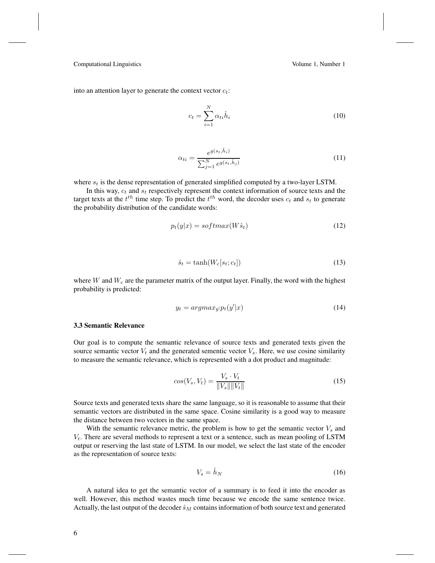into an attention layer to generate the context vector  $c_t$ :

$$
c_t = \sum_{i=1}^{N} \alpha_{ti} \hat{h}_i
$$
\n(10)

$$
\alpha_{ti} = \frac{e^{g(s_t, \hat{h}_i)}}{\sum_{j=1}^{N} e^{g(s_t, \hat{h}_j)}}
$$
(11)

where  $s_t$  is the dense representation of generated simplified computed by a two-layer LSTM.

In this way,  $c_t$  and  $s_t$  respectively represent the context information of source texts and the target texts at the  $t^{th}$  time step. To predict the  $t^{th}$  word, the decoder uses  $c_t$  and  $s_t$  to generate the probability distribution of the candidate words:

$$
p_t(y|x) = softmax(W\hat{s}_t)
$$
\n(12)

$$
\hat{s}_t = \tanh(W_c[s_t; c_t])\tag{13}
$$

where  $W$  and  $W_c$  are the parameter matrix of the output layer. Finally, the word with the highest probability is predicted:

$$
y_t = argmax_{y'} p_t(y'|x) \tag{14}
$$

## 3.3 Semantic Relevance

Our goal is to compute the semantic relevance of source texts and generated texts given the source semantic vector  $V_t$  and the generated sementic vector  $V_s$ . Here, we use cosine similarity to measure the semantic relevance, which is represented with a dot product and magnitude:

$$
cos(V_s, V_t) = \frac{V_s \cdot V_t}{\|V_s\| \|V_t\|} \tag{15}
$$

Source texts and generated texts share the same language, so it is reasonable to assume that their semantic vectors are distributed in the same space. Cosine similarity is a good way to measure the distance between two vectors in the same space.

With the semantic relevance metric, the problem is how to get the semantic vector  $V_s$  and  $V_t$ . There are several methods to represent a text or a sentence, such as mean pooling of LSTM output or reserving the last state of LSTM. In our model, we select the last state of the encoder as the representation of source texts:

$$
V_s = \hat{h}_N \tag{16}
$$

A natural idea to get the semantic vector of a summary is to feed it into the encoder as well. However, this method wastes much time because we encode the same sentence twice. Actually, the last output of the decoder  $\hat{s}_M$  contains information of both source text and generated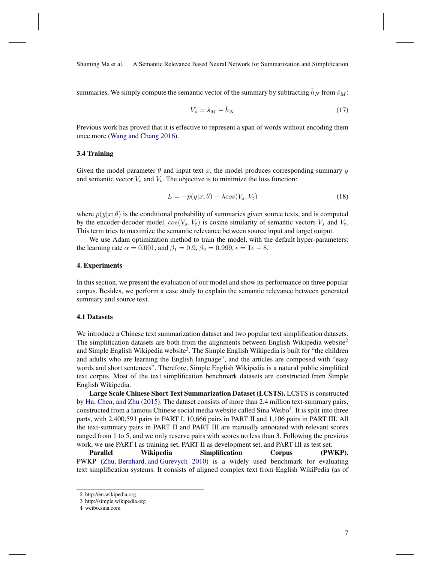summaries. We simply compute the semantic vector of the summary by subtracting  $h<sub>N</sub>$  from  $\hat{s}<sub>M</sub>$ :

$$
V_s = \hat{s}_M - \hat{h}_N \tag{17}
$$

Previous work has proved that it is effective to represent a span of words without encoding them once more [\(Wang and Chang 2016](#page-14-6)).

#### 3.4 Training

Given the model parameter  $\theta$  and input text x, the model produces corresponding summary y and semantic vector  $V_s$  and  $V_t$ . The objective is to minimize the loss function:

$$
L = -p(y|x; \theta) - \lambda \cos(V_s, V_t)
$$
\n(18)

where  $p(y|x; \theta)$  is the conditional probability of summaries given source texts, and is computed by the encoder-decoder model.  $cos(V_s, V_t)$  is cosine similarity of semantic vectors  $V_s$  and  $V_t$ . This term tries to maximize the semantic relevance between source input and target output.

We use Adam optimization method to train the model, with the default hyper-parameters: the learning rate  $\alpha = 0.001$ , and  $\beta_1 = 0.9$ ,  $\beta_2 = 0.999$ ,  $\epsilon = 1e - 8$ .

## 4. Experiments

In this section, we present the evaluation of our model and show its performance on three popular corpus. Besides, we perform a case study to explain the semantic relevance between generated summary and source text.

## 4.1 Datasets

We introduce a Chinese text summarization dataset and two popular text simplification datasets. The simplification datasets are both from the alignments between English Wikipedia website<sup>[2](#page-6-0)</sup> and Simple English Wikipedia website<sup>[3](#page-6-1)</sup>. The Simple English Wikipedia is built for "the children and adults who are learning the English language", and the articles are composed with "easy words and short sentences". Therefore, Simple English Wikipedia is a natural public simplified text corpus. Most of the text simplification benchmark datasets are constructed from Simple English Wikipedia.

Large Scale Chinese Short Text Summarization Dataset (LCSTS). LCSTS is constructed by [Hu, Chen, and Zhu](#page-13-3) [\(2015\)](#page-13-3). The dataset consists of more than 2.4 million text-summary pairs, constructed from a famous Chinese social media website called Sina Weibo<sup>[4](#page-6-2)</sup>. It is split into three parts, with 2,400,591 pairs in PART I, 10,666 pairs in PART II and 1,106 pairs in PART III. All the text-summary pairs in PART II and PART III are manually annotated with relevant scores ranged from 1 to 5, and we only reserve pairs with scores no less than 3. Following the previous work, we use PART I as training set, PART II as development set, and PART III as test set.

Parallel Wikipedia Simplification Corpus (PWKP). PWKP [\(Zhu, Bernhard, and Gurevych 2010](#page-14-1)) is a widely used benchmark for evaluating text simplification systems. It consists of aligned complex text from English WikiPedia (as of

<sup>2</sup> http://en.wikipedia.org

<span id="page-6-0"></span><sup>3</sup> http://simple.wikipedia.org

<span id="page-6-2"></span><span id="page-6-1"></span><sup>4</sup> weibo.sina.com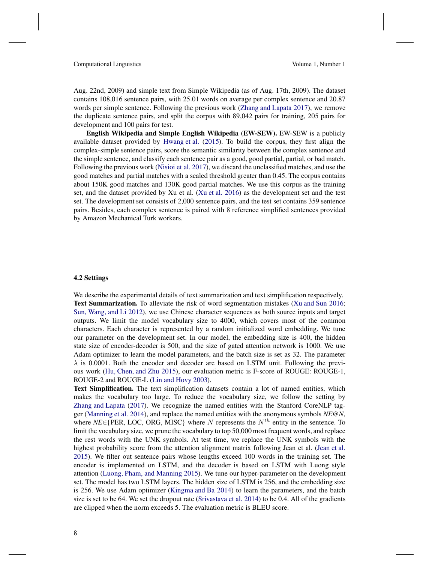Aug. 22nd, 2009) and simple text from Simple Wikipedia (as of Aug. 17th, 2009). The dataset contains 108,016 sentence pairs, with 25.01 words on average per complex sentence and 20.87 words per simple sentence. Following the previous work [\(Zhang and Lapata 2017\)](#page-14-5), we remove the duplicate sentence pairs, and split the corpus with 89,042 pairs for training, 205 pairs for development and 100 pairs for test.

English Wikipedia and Simple English Wikipedia (EW-SEW). EW-SEW is a publicly available dataset provided by [Hwang et al.](#page-13-6) [\(2015\)](#page-13-6). To build the corpus, they first align the complex-simple sentence pairs, score the semantic similarity between the complex sentence and the simple sentence, and classify each sentence pair as a good, good partial, partial, or bad match. Following the previous work [\(Nisioi et al. 2017](#page-14-4)), we discard the unclassified matches, and use the good matches and partial matches with a scaled threshold greater than 0.45. The corpus contains about 150K good matches and 130K good partial matches. We use this corpus as the training set, and the dataset provided by Xu et al. [\(Xu et al. 2016\)](#page-14-7) as the development set and the test set. The development set consists of 2,000 sentence pairs, and the test set contains 359 sentence pairs. Besides, each complex sentence is paired with 8 reference simplified sentences provided by Amazon Mechanical Turk workers.

## 4.2 Settings

We describe the experimental details of text summarization and text simplification respectively. Text Summarization. To alleviate the risk of word segmentation mistakes [\(Xu and Sun 2016;](#page-14-8) [Sun, Wang, and Li 2012\)](#page-14-9), we use Chinese character sequences as both source inputs and target outputs. We limit the model vocabulary size to 4000, which covers most of the common characters. Each character is represented by a random initialized word embedding. We tune our parameter on the development set. In our model, the embedding size is 400, the hidden state size of encoder-decoder is 500, and the size of gated attention network is 1000. We use Adam optimizer to learn the model parameters, and the batch size is set as 32. The parameter  $\lambda$  is 0.0001. Both the encoder and decoder are based on LSTM unit. Following the previous work [\(Hu, Chen, and Zhu 2015\)](#page-13-3), our evaluation metric is F-score of ROUGE: ROUGE-1, ROUGE-2 and ROUGE-L [\(Lin and Hovy 2003\)](#page-13-7).

Text Simplification. The text simplification datasets contain a lot of named entities, which makes the vocabulary too large. To reduce the vocabulary size, we follow the setting by [Zhang and Lapata](#page-14-5) [\(2017\)](#page-14-5). We recognize the named entities with the Stanford CoreNLP tagger [\(Manning et al. 2014\)](#page-13-8), and replace the named entities with the anonymous symbols *NE@N*, where  $NE \in \{PER, LOC, ORG, MISC\}$  where N represents the  $N^{th}$  entity in the sentence. To limit the vocabulary size, we prune the vocabulary to top 50,000 most frequent words, and replace the rest words with the UNK symbols. At test time, we replace the UNK symbols with the highest probability score from the attention alignment matrix following Jean et al. [\(Jean et al.](#page-13-9)) [2015\)](#page-13-9). We filter out sentence pairs whose lengths exceed 100 words in the training set. The encoder is implemented on LSTM, and the decoder is based on LSTM with Luong style attention [\(Luong, Pham, and Manning 2015\)](#page-13-10). We tune our hyper-parameter on the development set. The model has two LSTM layers. The hidden size of LSTM is 256, and the embedding size is 256. We use Adam optimizer [\(Kingma and Ba 2014\)](#page-13-11) to learn the parameters, and the batch size is set to be 64. We set the dropout rate [\(Srivastava et al. 2014\)](#page-14-10) to be 0.4. All of the gradients are clipped when the norm exceeds 5. The evaluation metric is BLEU score.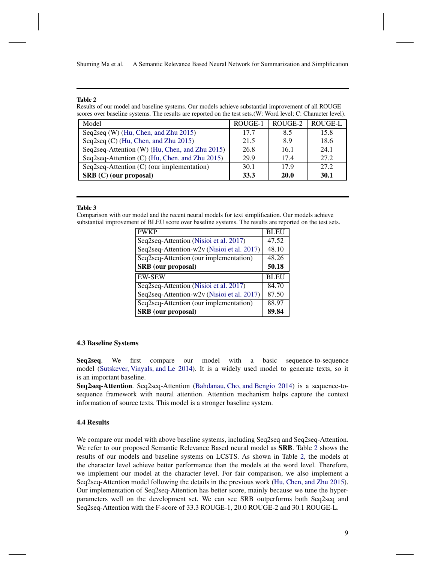## Table 2

<span id="page-8-0"></span>Results of our model and baseline systems. Our models achieve substantial improvement of all ROUGE scores over baseline systems. The results are reported on the test sets.(W: Word level; C: Character level).

| Model                                           | ROUGE-1 | ROUGE-2     | ROUGE-L     |
|-------------------------------------------------|---------|-------------|-------------|
| Seq2seq (W) (Hu, Chen, and Zhu 2015)            | 17.7    | 8.5         | 15.8        |
| Seq2seq (C) (Hu, Chen, and Zhu 2015)            | 21.5    | 8.9         | 18.6        |
| Seq2seq-Attention (W) (Hu, Chen, and Zhu 2015)  | 26.8    | 16.1        | 24.1        |
| Seq2seq-Attention (C) (Hu, Chen, and Zhu 2015)  | 29.9    | 17.4        | 27.2        |
| $Seq2seq$ -Attention $(C)$ (our implementation) | 30.1    | 17.9        | 27.2        |
| SRB (C) (our proposal)                          | 33.3    | <b>20.0</b> | <b>30.1</b> |

#### Table 3

<span id="page-8-1"></span>Comparison with our model and the recent neural models for text simplification. Our models achieve substantial improvement of BLEU score over baseline systems. The results are reported on the test sets.

| <b>PWKP</b>                                | <b>BLEU</b> |
|--------------------------------------------|-------------|
| Seq2seq-Attention (Nisioi et al. 2017)     | 47.52       |
| Seq2seq-Attention-w2v (Nisioi et al. 2017) | 48.10       |
| Seq2seq-Attention (our implementation)     | 48.26       |
| <b>SRB</b> (our proposal)                  | 50.18       |
| <b>EW-SEW</b>                              | <b>BLEU</b> |
| Seq2seq-Attention (Nisioi et al. 2017)     | 84.70       |
| Seq2seq-Attention-w2v (Nisioi et al. 2017) | 87.50       |
| Seq2seq-Attention (our implementation)     | 88.97       |
| <b>SRB</b> (our proposal)                  | 89.84       |

## 4.3 Baseline Systems

Seq2seq. We first compare our model with a basic sequence-to-sequence model [\(Sutskever, Vinyals, and Le 2014\)](#page-14-11). It is a widely used model to generate texts, so it is an important baseline.

Seq2seq-Attention. Seq2seq-Attention [\(Bahdanau, Cho, and Bengio 2014\)](#page-12-0) is a sequence-tosequence framework with neural attention. Attention mechanism helps capture the context information of source texts. This model is a stronger baseline system.

# 4.4 Results

We compare our model with above baseline systems, including Seq2seq and Seq2seq-Attention. We refer to our proposed Semantic Relevance Based neural model as **SRB**. Table [2](#page-8-0) shows the results of our models and baseline systems on LCSTS. As shown in Table [2,](#page-8-0) the models at the character level achieve better performance than the models at the word level. Therefore, we implement our model at the character level. For fair comparison, we also implement a Seq2seq-Attention model following the details in the previous work [\(Hu, Chen, and Zhu 2015\)](#page-13-3). Our implementation of Seq2seq-Attention has better score, mainly because we tune the hyperparameters well on the development set. We can see SRB outperforms both Seq2seq and Seq2seq-Attention with the F-score of 33.3 ROUGE-1, 20.0 ROUGE-2 and 30.1 ROUGE-L.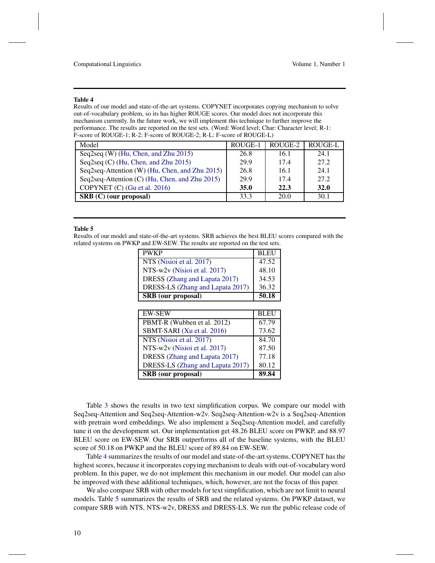#### Table 4

<span id="page-9-0"></span>Results of our model and state-of-the-art systems. COPYNET incorporates copying mechanism to solve out-of-vocabulary problem, so its has higher ROUGE scores. Our model does not incorporate this mechanism currently. In the future work, we will implement this technique to further improve the performance. The results are reported on the test sets. (Word: Word level; Char: Character level; R-1: F-score of ROUGE-1; R-2: F-score of ROUGE-2; R-L: F-score of ROUGE-L)

| Model                                          | ROUGE-1 | ROUGE-2 | ROUGE-L     |
|------------------------------------------------|---------|---------|-------------|
| Seq2seq (W) (Hu, Chen, and Zhu 2015)           | 26.8    | 16.1    | 24.1        |
| Seq2seq (C) (Hu, Chen, and Zhu 2015)           | 29.9    | 17.4    | 27.2        |
| Seq2seq-Attention (W) (Hu, Chen, and Zhu 2015) | 26.8    | 16.1    | 24.1        |
| Seq2seq-Attention (C) (Hu, Chen, and Zhu 2015) | 29.9    | 17.4    | 27.2        |
| COPYNET (C) (Gu et al. 2016)                   | 35.0    | 22.3    | <b>32.0</b> |
| <b>SRB</b> (C) (our proposal)                  | 33.3    | 20.0    | 30.1        |

#### Table 5

<span id="page-9-1"></span>Results of our model and state-of-the-art systems. SRB achieves the best BLEU scores compared with the related systems on PWKP and EW-SEW. The results are reported on the test sets.

| <b>PWKP</b>                      | <b>BLEU</b> |
|----------------------------------|-------------|
| NTS (Nisioi et al. 2017)         | 47.52       |
| NTS-w2v (Nisioi et al. 2017)     | 48.10       |
| DRESS (Zhang and Lapata 2017)    | 34.53       |
| DRESS-LS (Zhang and Lapata 2017) | 36.32       |
| <b>SRB</b> (our proposal)        | 50.18       |
|                                  |             |
| EW-SEW                           | <b>BLEU</b> |
| PBMT-R (Wubben et al. 2012)      | 67.79       |
| SBMT-SARI (Xu et al. 2016)       | 73.62       |

| <b>SRB</b> (our proposal)                               | 89.84  |
|---------------------------------------------------------|--------|
| DRESS-LS (Zhang and Lapata 2017)                        | 80.12  |
| DRESS (Zhang and Lapata 2017)                           | 77.18  |
| NTS-w2v (Nisioi et al. 2017)                            | 87.50  |
| NTS (Nisioi et al. 2017)                                | 84.70  |
| $5.60$ $1.11$ $1.11$ $1.11$ $1.11$ $1.11$ $1.11$ $1.11$ | $\sim$ |

Table [3](#page-8-1) shows the results in two text simplification corpus. We compare our model with Seq2seq-Attention and Seq2seq-Attention-w2v. Seq2seq-Attention-w2v is a Seq2seq-Attention with pretrain word embeddings. We also implement a Seq2seq-Attention model, and carefully tune it on the development set. Our implementation get 48.26 BLEU score on PWKP, and 88.97 BLEU score on EW-SEW. Our SRB outperforms all of the baseline systems, with the BLEU score of 50.18 on PWKP and the BLEU score of 89.84 on EW-SEW.

Table [4](#page-9-0) summarizes the results of our model and state-of-the-art systems. COPYNET has the highest scores, because it incorporates copying mechanism to deals with out-of-vocabulary word problem. In this paper, we do not implement this mechanism in our model. Our model can also be improved with these additional techniques, which, however, are not the focus of this paper.

We also compare SRB with other models for text simplification, which are not limit to neural models. Table [5](#page-9-1) summarizes the results of SRB and the related systems. On PWKP dataset, we compare SRB with NTS, NTS-w2v, DRESS and DRESS-LS. We run the public release code of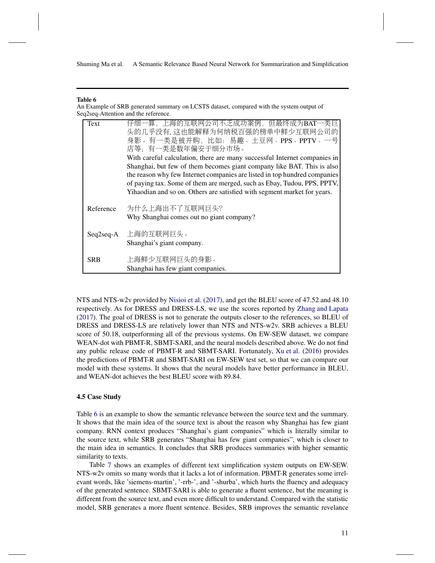#### Table 6

<span id="page-10-0"></span>An Example of SRB generated summary on LCSTS dataset, compared with the system output of Seq2seq-Attention and the reference.

| Text        | 仔细一算,上海的互联网公司不乏成功案例,但最终成为BAT一类巨                                           |
|-------------|---------------------------------------------------------------------------|
|             | 头的几乎没有, 这也能解释为何纳税百强的榜单中鲜少互联网公司的                                           |
|             | 身影。有一类是被并购, 比如: 易趣、土豆网、PPS、PPTV、一号                                        |
|             | 店等: 有一类是数年偏安于细分市场。                                                        |
|             | With careful calculation, there are many successful Internet companies in |
|             | Shanghai, but few of them becomes giant company like BAT. This is also    |
|             | the reason why few Internet companies are listed in top hundred companies |
|             | of paying tax. Some of them are merged, such as Ebay, Tudou, PPS, PPTV,   |
|             | Yihaodian and so on. Others are satisfied with segment market for years.  |
|             |                                                                           |
| Reference   | 为什么上海出不了互联网巨头?                                                            |
|             | Why Shanghai comes out no giant company?                                  |
|             |                                                                           |
| $Seq2seq-A$ | 上海的互联网巨头。                                                                 |
|             | Shanghai's giant company.                                                 |
|             |                                                                           |
| <b>SRB</b>  | 上海鲜少互联网巨头的身影。                                                             |
|             | Shanghai has few giant companies.                                         |

NTS and NTS-w2v provided by [Nisioi et al.](#page-14-4) [\(2017\)](#page-14-4), and get the BLEU score of 47.52 and 48.10 respectively. As for DRESS and DRESS-LS, we use the scores reported by [Zhang and Lapata](#page-14-5) [\(2017](#page-14-5)). The goal of DRESS is not to generate the outputs closer to the references, so BLEU of DRESS and DRESS-LS are relatively lower than NTS and NTS-w2v. SRB achieves a BLEU score of 50.18, outperforming all of the previous systems. On EW-SEW dataset, we compare WEAN-dot with PBMT-R, SBMT-SARI, and the neural models described above. We do not find any public release code of PBMT-R and SBMT-SARI. Fortunately, [Xu et al.](#page-14-7) [\(2016\)](#page-14-7) provides the predictions of PBMT-R and SBMT-SARI on EW-SEW test set, so that we can compare our model with these systems. It shows that the neural models have better performance in BLEU, and WEAN-dot achieves the best BLEU score with 89.84.

## 4.5 Case Study

Table [6](#page-10-0) is an example to show the semantic relevance between the source text and the summary. It shows that the main idea of the source text is about the reason why Shanghai has few giant company. RNN context produces "Shanghai's giant companies" which is literally similar to the source text, while SRB generates "Shanghai has few giant companies", which is closer to the main idea in semantics. It concludes that SRB produces summaries with higher semantic similarity to texts.

Table [7](#page-11-0) shows an examples of different text simplification system outputs on EW-SEW. NTS-w2v omits so many words that it lacks a lot of information. PBMT-R generates some irrelevant words, like 'siemens-martin', '-rrb-', and '-shurba', which hurts the fluency and adequacy of the generated sentence. SBMT-SARI is able to generate a fluent sentence, but the meaning is different from the source text, and even more difficult to understand. Compared with the statistic model, SRB generates a more fluent sentence. Besides, SRB improves the semantic revelance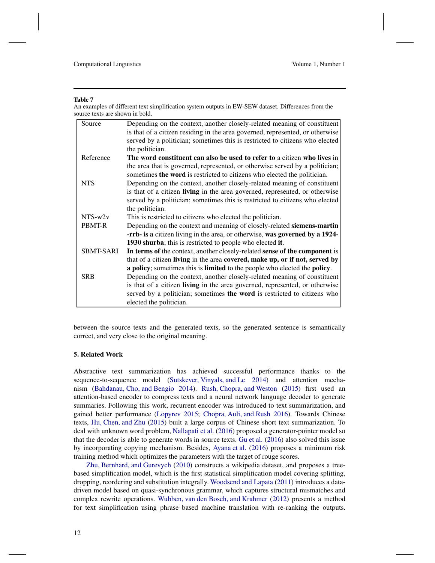#### Table 7

<span id="page-11-0"></span>An examples of different text simplification system outputs in EW-SEW dataset. Differences from the source texts are shown in bold.

| Source           | Depending on the context, another closely-related meaning of constituent           |
|------------------|------------------------------------------------------------------------------------|
|                  | is that of a citizen residing in the area governed, represented, or otherwise      |
|                  | served by a politician; sometimes this is restricted to citizens who elected       |
|                  | the politician.                                                                    |
| Reference        | The word constituent can also be used to refer to a citizen who lives in           |
|                  | the area that is governed, represented, or otherwise served by a politician;       |
|                  | sometimes the word is restricted to citizens who elected the politician.           |
| <b>NTS</b>       | Depending on the context, another closely-related meaning of constituent           |
|                  | is that of a citizen <b>living</b> in the area governed, represented, or otherwise |
|                  | served by a politician; sometimes this is restricted to citizens who elected       |
|                  | the politician.                                                                    |
| $NTS-w2v$        | This is restricted to citizens who elected the politician.                         |
| PBMT-R           | Depending on the context and meaning of closely-related siemens-martin             |
|                  | -rrb- is a citizen living in the area, or otherwise, was governed by a 1924-       |
|                  | 1930 shurba; this is restricted to people who elected it.                          |
| <b>SBMT-SARI</b> | In terms of the context, another closely-related sense of the component is         |
|                  | that of a citizen living in the area covered, make up, or if not, served by        |
|                  | a policy; sometimes this is limited to the people who elected the policy.          |
| <b>SRB</b>       | Depending on the context, another closely-related meaning of constituent           |
|                  | is that of a citizen living in the area governed, represented, or otherwise        |
|                  | served by a politician; sometimes the word is restricted to citizens who           |
|                  | elected the politician.                                                            |

between the source texts and the generated texts, so the generated sentence is semantically correct, and very close to the original meaning.

#### 5. Related Work

Abstractive text summarization has achieved successful performance thanks to the sequence-to-sequence model [\(Sutskever, Vinyals, and Le 2014\)](#page-14-11) and attention mechanism [\(Bahdanau, Cho, and Bengio 2014\)](#page-12-0). [Rush, Chopra, and Weston](#page-14-3) [\(2015](#page-14-3)) first used an attention-based encoder to compress texts and a neural network language decoder to generate summaries. Following this work, recurrent encoder was introduced to text summarization, and gained better performance [\(Lopyrev 2015;](#page-13-13) [Chopra, Auli, and Rush 2016](#page-13-14)). Towards Chinese texts, [Hu, Chen, and Zhu](#page-13-3) [\(2015\)](#page-13-3) built a large corpus of Chinese short text summarization. To deal with unknown word problem, [Nallapati et al.](#page-14-12) [\(2016](#page-14-12)) proposed a generator-pointer model so that the decoder is able to generate words in source texts. [Gu et al.](#page-13-12) [\(2016\)](#page-13-12) also solved this issue by incorporating copying mechanism. Besides, [Ayana et al.](#page-12-1) [\(2016](#page-12-1)) proposes a minimum risk training method which optimizes the parameters with the target of rouge scores.

[Zhu, Bernhard, and Gurevych](#page-14-1) [\(2010\)](#page-14-1) constructs a wikipedia dataset, and proposes a treebased simplification model, which is the first statistical simplification model covering splitting, dropping, reordering and substitution integrally. [Woodsend and Lapata](#page-14-2) [\(2011](#page-14-2)) introduces a datadriven model based on quasi-synchronous grammar, which captures structural mismatches and complex rewrite operations. [Wubben, van den Bosch, and Krahmer](#page-14-13) [\(2012\)](#page-14-13) presents a method for text simplification using phrase based machine translation with re-ranking the outputs.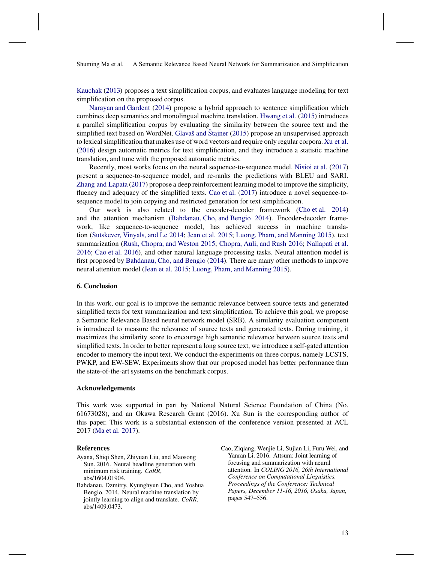[Kauchak](#page-13-15) [\(2013](#page-13-15)) proposes a text simplification corpus, and evaluates language modeling for text simplification on the proposed corpus.

[Narayan and Gardent](#page-14-14) [\(2014\)](#page-14-14) propose a hybrid approach to sentence simplification which combines deep semantics and monolingual machine translation. [Hwang et al.](#page-13-6) [\(2015\)](#page-13-6) introduces a parallel simplification corpus by evaluating the similarity between the source text and the simplified text based on WordNet. [Glavaš and Štajner](#page-13-16) [\(2015](#page-13-16)) propose an unsupervised approach to lexical simplification that makes use of word vectors and require only regular corpora. [Xu et al.](#page-14-7) [\(2016](#page-14-7)) design automatic metrics for text simplification, and they introduce a statistic machine translation, and tune with the proposed automatic metrics.

Recently, most works focus on the neural sequence-to-sequence model. [Nisioi et al.](#page-14-4) [\(2017](#page-14-4)) present a sequence-to-sequence model, and re-ranks the predictions with BLEU and SARI. [Zhang and Lapata](#page-14-5) [\(2017\)](#page-14-5) propose a deep reinforcement learning model to improve the simplicity, fluency and adequacy of the simplified texts. [Cao et al.](#page-13-4) [\(2017\)](#page-13-4) introduce a novel sequence-tosequence model to join copying and restricted generation for text simplification.

Our work is also related to the encoder-decoder framework [\(Cho et al. 2014](#page-13-17)) and the attention mechanism [\(Bahdanau, Cho, and Bengio 2014\)](#page-12-0). Encoder-decoder framework, like sequence-to-sequence model, has achieved success in machine translation [\(Sutskever, Vinyals, and Le 2014;](#page-14-11) [Jean et al. 2015;](#page-13-9) [Luong, Pham, and Manning 2015\)](#page-13-10), text summarization [\(Rush, Chopra, and Weston 2015;](#page-14-3) [Chopra, Auli, and Rush 2016](#page-13-14); [Nallapati et al.](#page-14-12) [2016;](#page-14-12) [Cao et al. 2016\)](#page-12-2), and other natural language processing tasks. Neural attention model is first proposed by [Bahdanau, Cho, and Bengio](#page-12-0) [\(2014](#page-12-0)). There are many other methods to improve neural attention model [\(Jean et al. 2015;](#page-13-9) [Luong, Pham, and Manning 2015\)](#page-13-10).

## 6. Conclusion

In this work, our goal is to improve the semantic relevance between source texts and generated simplified texts for text summarization and text simplification. To achieve this goal, we propose a Semantic Relevance Based neural network model (SRB). A similarity evaluation component is introduced to measure the relevance of source texts and generated texts. During training, it maximizes the similarity score to encourage high semantic relevance between source texts and simplified texts. In order to better represent a long source text, we introduce a self-gated attention encoder to memory the input text. We conduct the experiments on three corpus, namely LCSTS, PWKP, and EW-SEW. Experiments show that our proposed model has better performance than the state-of-the-art systems on the benchmark corpus.

#### Acknowledgements

This work was supported in part by National Natural Science Foundation of China (No. 61673028), and an Okawa Research Grant (2016). Xu Sun is the corresponding author of this paper. This work is a substantial extension of the conference version presented at ACL 2017 [\(Ma et al. 2017](#page-13-18)).

#### References

- <span id="page-12-1"></span>Ayana, Shiqi Shen, Zhiyuan Liu, and Maosong Sun. 2016. Neural headline generation with minimum risk training. *CoRR*, abs/1604.01904.
- <span id="page-12-0"></span>Bahdanau, Dzmitry, Kyunghyun Cho, and Yoshua Bengio. 2014. Neural machine translation by jointly learning to align and translate. *CoRR*, abs/1409.0473.
- <span id="page-12-2"></span>Cao, Ziqiang, Wenjie Li, Sujian Li, Furu Wei, and Yanran Li. 2016. Attsum: Joint learning of focusing and summarization with neural attention. In *COLING 2016, 26th International Conference on Computational Linguistics, Proceedings of the Conference: Technical Papers, December 11-16, 2016, Osaka, Japan*, pages 547–556.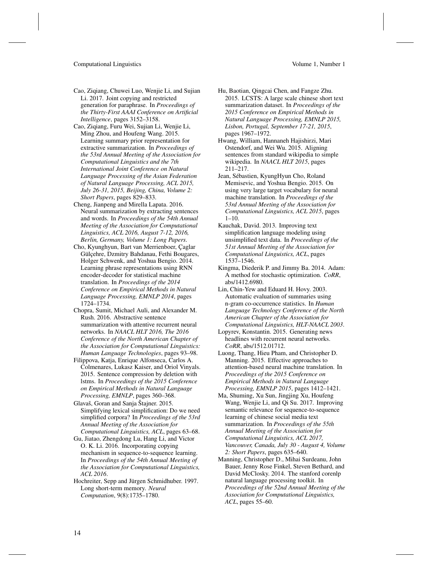- <span id="page-13-4"></span>Cao, Ziqiang, Chuwei Luo, Wenjie Li, and Sujian Li. 2017. Joint copying and restricted generation for paraphrase. In *Proceedings of the Thirty-First AAAI Conference on Artificial Intelligence*, pages 3152–3158.
- <span id="page-13-1"></span>Cao, Ziqiang, Furu Wei, Sujian Li, Wenjie Li, Ming Zhou, and Houfeng Wang. 2015. Learning summary prior representation for extractive summarization. In *Proceedings of the 53rd Annual Meeting of the Association for Computational Linguistics and the 7th International Joint Conference on Natural Language Processing of the Asian Federation of Natural Language Processing, ACL 2015, July 26-31, 2015, Beijing, China, Volume 2: Short Papers*, pages 829–833.
- <span id="page-13-0"></span>Cheng, Jianpeng and Mirella Lapata. 2016. Neural summarization by extracting sentences and words. In *Proceedings of the 54th Annual Meeting of the Association for Computational Linguistics, ACL 2016, August 7-12, 2016, Berlin, Germany, Volume 1: Long Papers*.
- <span id="page-13-17"></span>Cho, Kyunghyun, Bart van Merrienboer, Çaglar Gülçehre, Dzmitry Bahdanau, Fethi Bougares, Holger Schwenk, and Yoshua Bengio. 2014. Learning phrase representations using RNN encoder-decoder for statistical machine translation. In *Proceedings of the 2014 Conference on Empirical Methods in Natural Language Processing, EMNLP 2014*, pages 1724–1734.
- <span id="page-13-14"></span>Chopra, Sumit, Michael Auli, and Alexander M. Rush. 2016. Abstractive sentence summarization with attentive recurrent neural networks. In *NAACL HLT 2016, The 2016 Conference of the North American Chapter of the Association for Computational Linguistics: Human Language Technologies*, pages 93–98.
- <span id="page-13-2"></span>Filippova, Katja, Enrique Alfonseca, Carlos A. Colmenares, Lukasz Kaiser, and Oriol Vinyals. 2015. Sentence compression by deletion with lstms. In *Proceedings of the 2015 Conference on Empirical Methods in Natural Language Processing, EMNLP*, pages 360–368.
- <span id="page-13-16"></span>Glavaš, Goran and Sanja Štajner. 2015. Simplifying lexical simplification: Do we need simplified corpora? In *Proceedings of the 53rd Annual Meeting of the Association for Computational Linguistics, ACL*, pages 63–68.
- <span id="page-13-12"></span>Gu, Jiatao, Zhengdong Lu, Hang Li, and Victor O. K. Li. 2016. Incorporating copying mechanism in sequence-to-sequence learning. In *Proceedings of the 54th Annual Meeting of the Association for Computational Linguistics, ACL 2016*.
- <span id="page-13-5"></span>Hochreiter, Sepp and Jürgen Schmidhuber. 1997. Long short-term memory. *Neural Computation*, 9(8):1735–1780.

# <span id="page-13-3"></span>Hu, Baotian, Qingcai Chen, and Fangze Zhu. 2015. LCSTS: A large scale chinese short text summarization dataset. In *Proceedings of the 2015 Conference on Empirical Methods in*

- *Natural Language Processing, EMNLP 2015, Lisbon, Portugal, September 17-21, 2015*, pages 1967–1972.
- <span id="page-13-6"></span>Hwang, William, Hannaneh Hajishirzi, Mari Ostendorf, and Wei Wu. 2015. Aligning sentences from standard wikipedia to simple wikipedia. In *NAACL HLT 2015*, pages 211–217.
- <span id="page-13-9"></span>Jean, Sébastien, KyungHyun Cho, Roland Memisevic, and Yoshua Bengio. 2015. On using very large target vocabulary for neural machine translation. In *Proceedings of the 53rd Annual Meeting of the Association for Computational Linguistics, ACL 2015*, pages 1–10.
- <span id="page-13-15"></span>Kauchak, David. 2013. Improving text simplification language modeling using unsimplified text data. In *Proceedings of the 51st Annual Meeting of the Association for Computational Linguistics, ACL*, pages 1537–1546.
- <span id="page-13-11"></span>Kingma, Diederik P. and Jimmy Ba. 2014. Adam: A method for stochastic optimization. *CoRR*, abs/1412.6980.
- <span id="page-13-7"></span>Lin, Chin-Yew and Eduard H. Hovy. 2003. Automatic evaluation of summaries using n-gram co-occurrence statistics. In *Human Language Technology Conference of the North American Chapter of the Association for Computational Linguistics, HLT-NAACL 2003*.
- <span id="page-13-13"></span>Lopyrev, Konstantin. 2015. Generating news headlines with recurrent neural networks. *CoRR*, abs/1512.01712.
- <span id="page-13-10"></span>Luong, Thang, Hieu Pham, and Christopher D. Manning. 2015. Effective approaches to attention-based neural machine translation. In *Proceedings of the 2015 Conference on Empirical Methods in Natural Language Processing, EMNLP 2015*, pages 1412–1421.
- <span id="page-13-18"></span>Ma, Shuming, Xu Sun, Jingjing Xu, Houfeng Wang, Wenjie Li, and Qi Su. 2017. Improving semantic relevance for sequence-to-sequence learning of chinese social media text summarization. In *Proceedings of the 55th Annual Meeting of the Association for Computational Linguistics, ACL 2017, Vancouver, Canada, July 30 - August 4, Volume 2: Short Papers*, pages 635–640.
- <span id="page-13-8"></span>Manning, Christopher D., Mihai Surdeanu, John Bauer, Jenny Rose Finkel, Steven Bethard, and David McClosky. 2014. The stanford corenlp natural language processing toolkit. In *Proceedings of the 52nd Annual Meeting of the Association for Computational Linguistics, ACL*, pages 55–60.